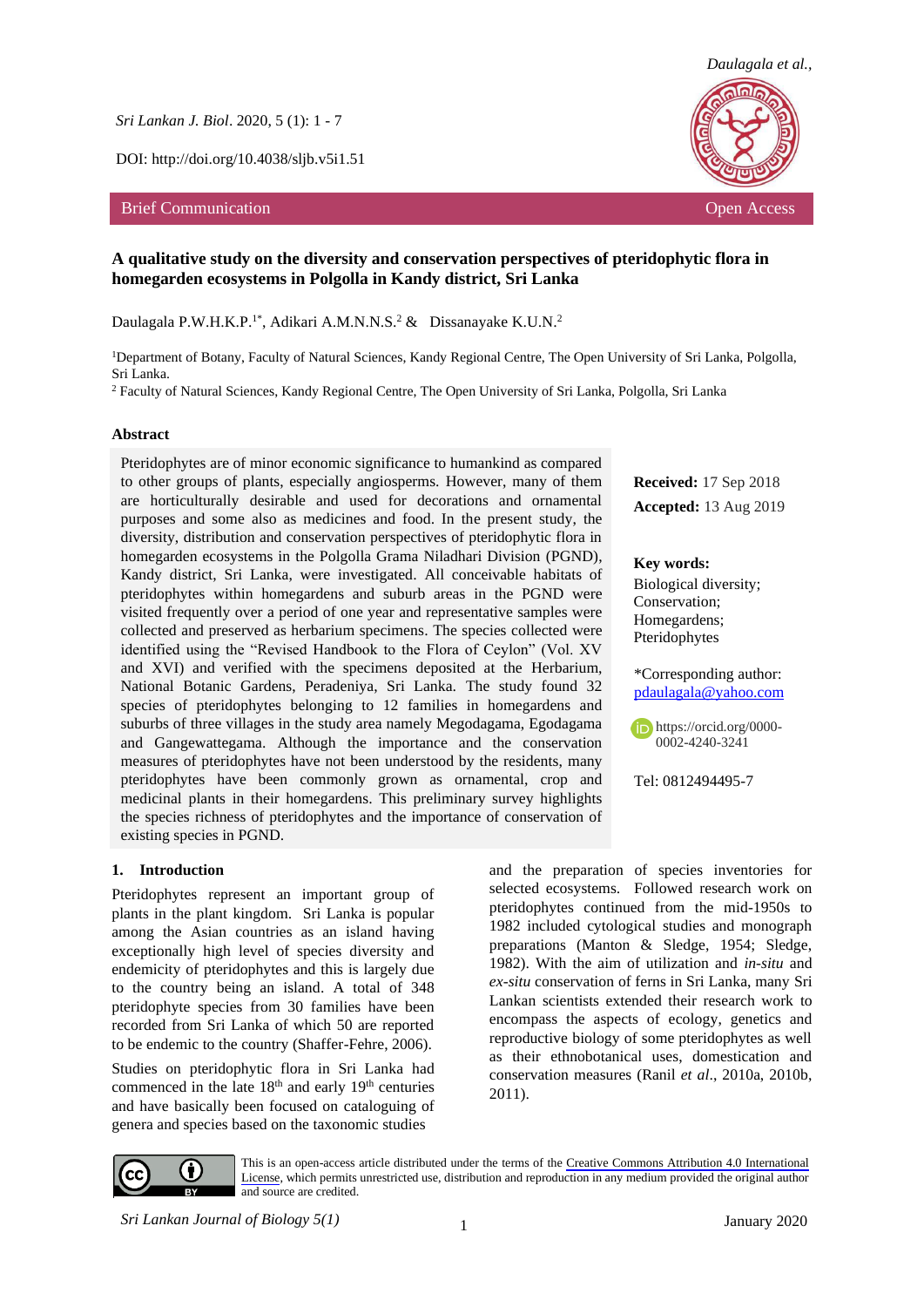*Sri Lankan J. Biol*. 2020, 5 (1): 1 - 7

DOI: http://doi.org/10.4038/sljb.v5i1.51

#### Brief Communication **Open Access Open Access Open Access Open Access Open Access**



**Received:** 17 Sep 2018 **Accepted:** 13 Aug 2019

\*Corresponding author: [pdaulagala@yahoo.com](mailto:pdaulagala@yahoo.com)

https://orcid.org/0000- 0002-4240-3241

Tel: 0812494495-7

**Key words:**  Biological diversity; Conservation; Homegardens; Pteridophytes

# **A qualitative study on the diversity and conservation perspectives of pteridophytic flora in homegarden ecosystems in Polgolla in Kandy district, Sri Lanka**

Daulagala P.W.H.K.P.<sup>1\*</sup>, Adikari A.M.N.N.S.<sup>2</sup> & Dissanayake K.U.N.<sup>2</sup>

<sup>1</sup>Department of Botany, Faculty of Natural Sciences, Kandy Regional Centre, The Open University of Sri Lanka, Polgolla, Sri Lanka.

<sup>2</sup> Faculty of Natural Sciences, Kandy Regional Centre, The Open University of Sri Lanka, Polgolla, Sri Lanka

#### **Abstract**

Pteridophytes are of minor economic significance to humankind as compared to other groups of plants, especially angiosperms. However, many of them are horticulturally desirable and used for decorations and ornamental purposes and some also as medicines and food. In the present study, the diversity, distribution and conservation perspectives of pteridophytic flora in homegarden ecosystems in the Polgolla Grama Niladhari Division (PGND), Kandy district, Sri Lanka, were investigated. All conceivable habitats of pteridophytes within homegardens and suburb areas in the PGND were visited frequently over a period of one year and representative samples were collected and preserved as herbarium specimens. The species collected were identified using the "Revised Handbook to the Flora of Ceylon" (Vol. XV and XVI) and verified with the specimens deposited at the Herbarium, National Botanic Gardens, Peradeniya, Sri Lanka. The study found 32 species of pteridophytes belonging to 12 families in homegardens and suburbs of three villages in the study area namely Megodagama, Egodagama and Gangewattegama. Although the importance and the conservation measures of pteridophytes have not been understood by the residents, many pteridophytes have been commonly grown as ornamental, crop and medicinal plants in their homegardens. This preliminary survey highlights the species richness of pteridophytes and the importance of conservation of existing species in PGND.

#### **1. Introduction**

Pteridophytes represent an important group of plants in the plant kingdom. Sri Lanka is popular among the Asian countries as an island having exceptionally high level of species diversity and endemicity of pteridophytes and this is largely due to the country being an island. A total of 348 pteridophyte species from 30 families have been recorded from Sri Lanka of which 50 are reported to be endemic to the country (Shaffer-Fehre, 2006).

Studies on pteridophytic flora in Sri Lanka had commenced in the late  $18<sup>th</sup>$  and early  $19<sup>th</sup>$  centuries and have basically been focused on cataloguing of genera and species based on the taxonomic studies

and the preparation of species inventories for selected ecosystems. Followed research work on pteridophytes continued from the mid-1950s to 1982 included cytological studies and monograph preparations (Manton & Sledge, 1954; Sledge, 1982). With the aim of utilization and *in-situ* and *ex-situ* conservation of ferns in Sri Lanka, many Sri Lankan scientists extended their research work to encompass the aspects of ecology, genetics and reproductive biology of some pteridophytes as well as their ethnobotanical uses, domestication and conservation measures (Ranil *et al*., 2010a, 2010b, 2011).



This is an open-access article distributed under the terms of the [Creative Commons Attribution 4.0 International](https://creativecommons.org/licenses/by/4.0/) [License](https://creativecommons.org/licenses/by/4.0/), which permits unrestricted use, distribution and reproduction in any medium provided the original author and source are credited.

*Sri Lankan Journal of Biology 5(1)* January 2020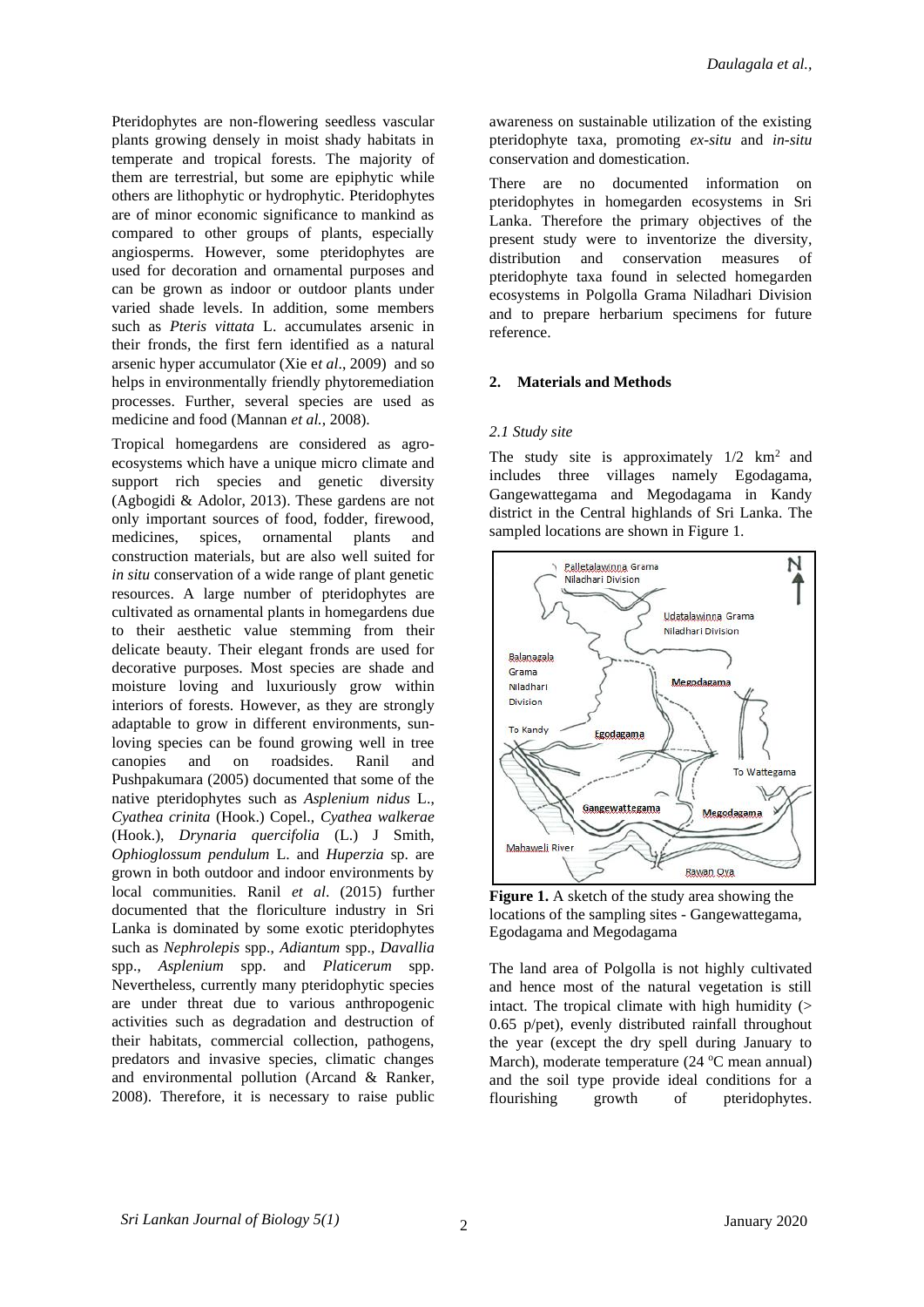Pteridophytes are non-flowering seedless vascular plants growing densely in moist shady habitats in temperate and tropical forests. The majority of them are terrestrial, but some are epiphytic while others are lithophytic or hydrophytic. Pteridophytes are of minor economic significance to mankind as compared to other groups of plants, especially angiosperms. However, some pteridophytes are used for decoration and ornamental purposes and can be grown as indoor or outdoor plants under varied shade levels. In addition, some members such as *Pteris vittata* L. accumulates arsenic in their fronds, the first fern identified as a natural arsenic hyper accumulator (Xie e*t al*., 2009) and so helps in environmentally friendly phytoremediation processes. Further, several species are used as medicine and food (Mannan *et al.*, 2008).

Tropical homegardens are considered as agroecosystems which have a unique micro climate and support rich species and genetic diversity (Agbogidi & Adolor, 2013). These gardens are not only important sources of food, fodder, firewood, medicines, spices, ornamental plants and construction materials, but are also well suited for *in situ* conservation of a wide range of plant genetic resources. A large number of pteridophytes are cultivated as ornamental plants in homegardens due to their aesthetic value stemming from their delicate beauty. Their elegant fronds are used for decorative purposes. Most species are shade and moisture loving and luxuriously grow within interiors of forests. However, as they are strongly adaptable to grow in different environments, sunloving species can be found growing well in tree canopies and on roadsides. Ranil and Pushpakumara (2005) documented that some of the native pteridophytes such as *Asplenium nidus* L., *Cyathea crinita* (Hook.) Copel., *Cyathea walkerae* (Hook.), *Drynaria quercifolia* (L.) J Smith, *Ophioglossum pendulum* L. and *Huperzia* sp. are grown in both outdoor and indoor environments by local communities. Ranil *et al*. (2015) further documented that the floriculture industry in Sri Lanka is dominated by some exotic pteridophytes such as *Nephrolepis* spp., *Adiantum* spp., *Davallia* spp., *Asplenium* spp. and *Platicerum* spp. Nevertheless, currently many pteridophytic species are under threat due to various anthropogenic activities such as degradation and destruction of their habitats, commercial collection, pathogens, predators and invasive species, climatic changes and environmental pollution (Arcand & Ranker, 2008). Therefore, it is necessary to raise public awareness on sustainable utilization of the existing pteridophyte taxa, promoting *ex-situ* and *in-situ* conservation and domestication.

There are no documented information on pteridophytes in homegarden ecosystems in Sri Lanka. Therefore the primary objectives of the present study were to inventorize the diversity, distribution and conservation measures of pteridophyte taxa found in selected homegarden ecosystems in Polgolla Grama Niladhari Division and to prepare herbarium specimens for future reference.

### **2. Materials and Methods**

#### *2.1 Study site*

The study site is approximately  $1/2$  km<sup>2</sup> and includes three villages namely Egodagama, Gangewattegama and Megodagama in Kandy district in the Central highlands of Sri Lanka. The sampled locations are shown in Figure 1.



**Figure 1.** A sketch of the study area showing the locations of the sampling sites - Gangewattegama, Egodagama and Megodagama

The land area of Polgolla is not highly cultivated and hence most of the natural vegetation is still intact. The tropical climate with high humidity  $($ 0.65 p/pet), evenly distributed rainfall throughout the year (except the dry spell during January to March), moderate temperature  $(24 \text{ °C}$  mean annual) and the soil type provide ideal conditions for a flourishing growth of pteridophytes.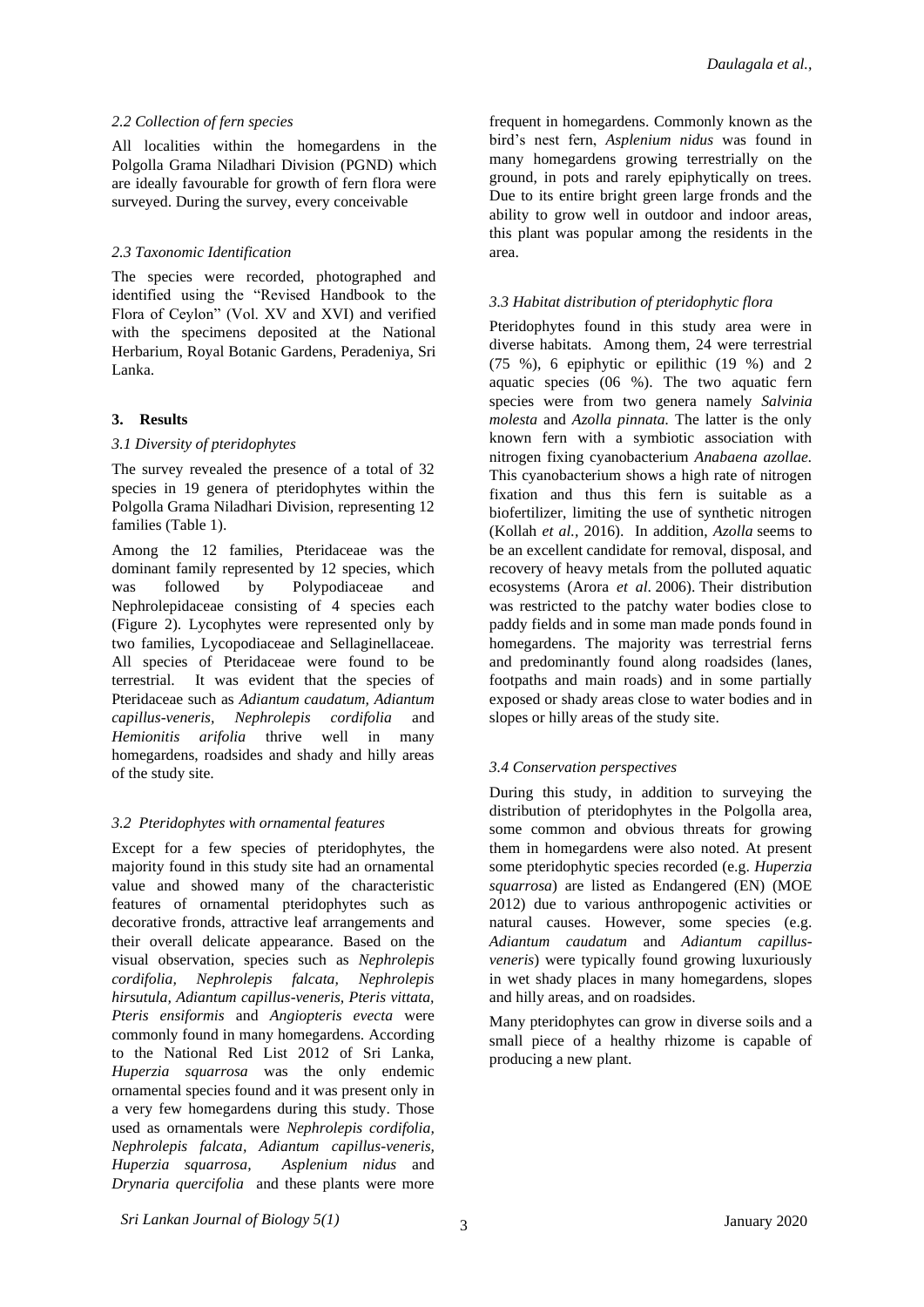### *2.2 Collection of fern species*

All localities within the homegardens in the Polgolla Grama Niladhari Division (PGND) which are ideally favourable for growth of fern flora were surveyed. During the survey, every conceivable

### *2.3 Taxonomic Identification*

The species were recorded, photographed and identified using the "Revised Handbook to the Flora of Ceylon" (Vol. XV and XVI) and verified with the specimens deposited at the National Herbarium, Royal Botanic Gardens, Peradeniya, Sri Lanka.

### **3. Results**

### *3.1 Diversity of pteridophytes*

The survey revealed the presence of a total of 32 species in 19 genera of pteridophytes within the Polgolla Grama Niladhari Division, representing 12 families (Table 1).

Among the 12 families, Pteridaceae was the dominant family represented by 12 species, which was followed by Polypodiaceae and Nephrolepidaceae consisting of 4 species each (Figure 2). Lycophytes were represented only by two families, Lycopodiaceae and Sellaginellaceae. All species of Pteridaceae were found to be terrestrial. It was evident that the species of Pteridaceae such as *Adiantum caudatum, Adiantum capillus-veneris, Nephrolepis cordifolia* and *Hemionitis arifolia* thrive well in many homegardens, roadsides and shady and hilly areas of the study site.

# *3.2 Pteridophytes with ornamental features*

Except for a few species of pteridophytes, the majority found in this study site had an ornamental value and showed many of the characteristic features of ornamental pteridophytes such as decorative fronds, attractive leaf arrangements and their overall delicate appearance. Based on the visual observation, species such as *Nephrolepis cordifolia, Nephrolepis falcata, Nephrolepis hirsutula, Adiantum capillus-veneris, Pteris vittata, Pteris ensiformis* and *Angiopteris evecta* were commonly found in many homegardens. According to the National Red List 2012 of Sri Lanka, *Huperzia squarrosa* was the only endemic ornamental species found and it was present only in a very few homegardens during this study. Those used as ornamentals were *Nephrolepis cordifolia, Nephrolepis falcata, Adiantum capillus-veneris, Huperzia squarrosa, Asplenium nidus* and *Drynaria quercifolia* and these plants were more

frequent in homegardens. Commonly known as the bird's nest fern, *Asplenium nidus* was found in many homegardens growing terrestrially on the ground, in pots and rarely epiphytically on trees. Due to its entire bright green large fronds and the ability to grow well in outdoor and indoor areas, this plant was popular among the residents in the area.

# *3.3 Habitat distribution of pteridophytic flora*

Pteridophytes found in this study area were in diverse habitats. Among them, 24 were terrestrial (75 %), 6 epiphytic or epilithic (19 %) and 2 aquatic species (06 %). The two aquatic fern species were from two genera namely *Salvinia molesta* and *Azolla pinnata.* The latter is the only known fern with a symbiotic association with nitrogen fixing cyanobacterium *Anabaena azollae.* This cyanobacterium shows a high rate of nitrogen fixation and thus this fern is suitable as a biofertilizer, limiting the use of synthetic nitrogen (Kollah *et al.,* 2016). In addition, *Azolla* seems to be an excellent candidate for removal, disposal, and recovery of heavy metals from the polluted aquatic ecosystems (Arora *et al*. [2006\)](https://www.ncbi.nlm.nih.gov/pmc/articles/PMC3357840/#CR7). Their distribution was restricted to the patchy water bodies close to paddy fields and in some man made ponds found in homegardens. The majority was terrestrial ferns and predominantly found along roadsides (lanes, footpaths and main roads) and in some partially exposed or shady areas close to water bodies and in slopes or hilly areas of the study site.

# *3.4 Conservation perspectives*

During this study, in addition to surveying the distribution of pteridophytes in the Polgolla area, some common and obvious threats for growing them in homegardens were also noted. At present some pteridophytic species recorded (e.g. *Huperzia squarrosa*) are listed as Endangered (EN) (MOE 2012) due to various anthropogenic activities or natural causes. However, some species (e.g. *Adiantum caudatum* and *Adiantum capillusveneris*) were typically found growing luxuriously in wet shady places in many homegardens, slopes and hilly areas, and on roadsides.

Many pteridophytes can grow in diverse soils and a small piece of a healthy rhizome is capable of producing a new plant.

*Sri Lankan Journal of Biology 5(1)* January 2020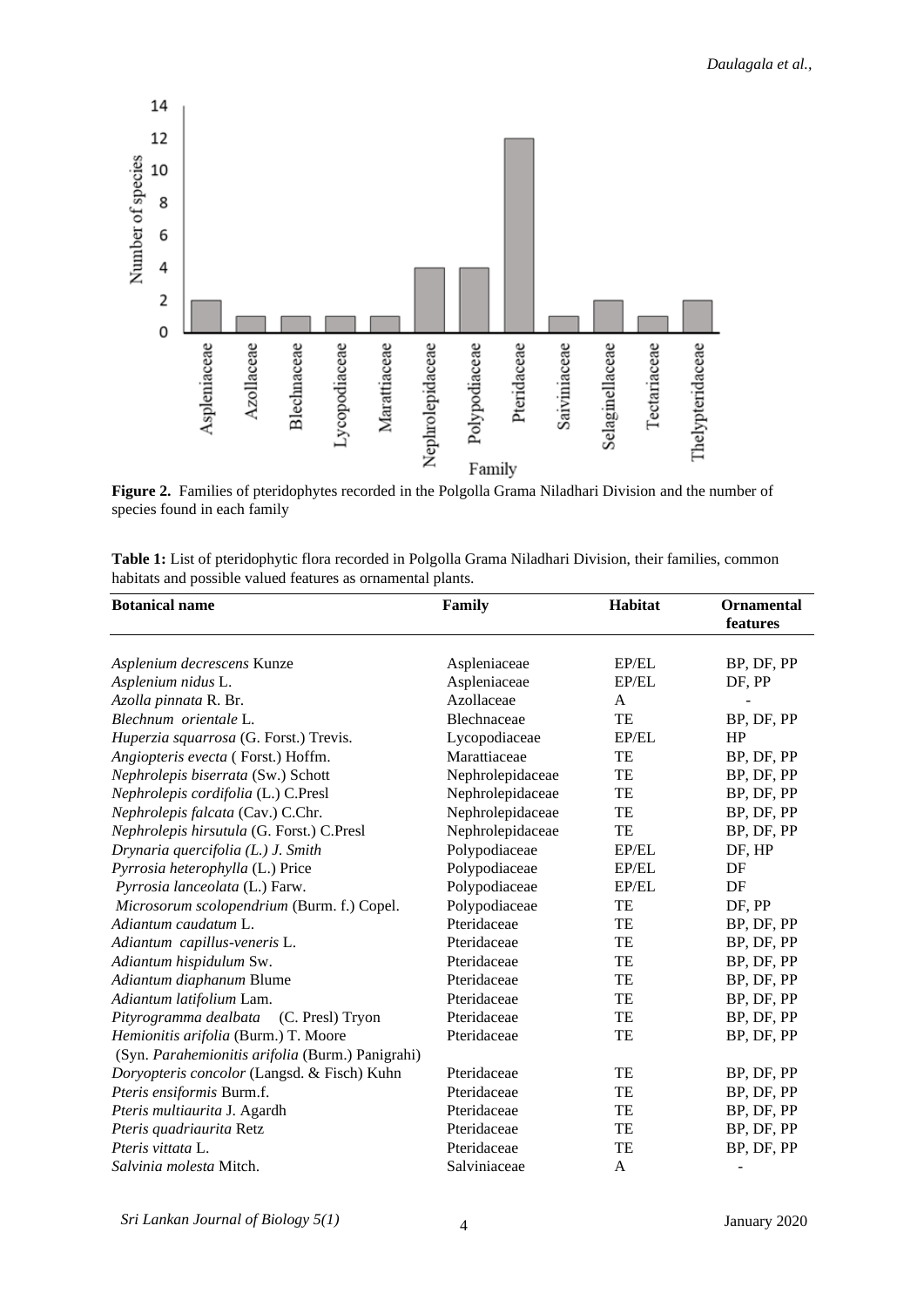

**Figure 2.** Families of pteridophytes recorded in the Polgolla Grama Niladhari Division and the number of species found in each family

| Table 1: List of pteridophytic flora recorded in Polgolla Grama Niladhari Division, their families, common |  |
|------------------------------------------------------------------------------------------------------------|--|
| habitats and possible valued features as ornamental plants.                                                |  |

| <b>Botanical name</b>                            | Family           | Habitat | <b>Ornamental</b><br>features |
|--------------------------------------------------|------------------|---------|-------------------------------|
|                                                  |                  |         |                               |
| Asplenium decrescens Kunze                       | Aspleniaceae     | EP/EL   | BP, DF, PP                    |
| Asplenium nidus L.                               | Aspleniaceae     | EP/EL   | DF, PP                        |
| Azolla pinnata R. Br.                            | Azollaceae       | A       |                               |
| Blechnum orientale L.                            | Blechnaceae      | TE      | BP, DF, PP                    |
| Huperzia squarrosa (G. Forst.) Trevis.           | Lycopodiaceae    | EP/EL   | HP                            |
| Angiopteris evecta (Forst.) Hoffm.               | Marattiaceae     | TE      | BP, DF, PP                    |
| Nephrolepis biserrata (Sw.) Schott               | Nephrolepidaceae | TE      | BP, DF, PP                    |
| Nephrolepis cordifolia (L.) C.Presl              | Nephrolepidaceae | TE      | BP, DF, PP                    |
| Nephrolepis falcata (Cav.) C.Chr.                | Nephrolepidaceae | TE      | BP, DF, PP                    |
| Nephrolepis hirsutula (G. Forst.) C.Presl        | Nephrolepidaceae | TE      | BP, DF, PP                    |
| Drynaria quercifolia (L.) J. Smith               | Polypodiaceae    | EP/EL   | DF, HP                        |
| Pyrrosia heterophylla (L.) Price                 | Polypodiaceae    | EP/EL   | DF                            |
| Pyrrosia lanceolata (L.) Farw.                   | Polypodiaceae    | EP/EL   | DF                            |
| Microsorum scolopendrium (Burm. f.) Copel.       | Polypodiaceae    | TE      | DF, PP                        |
| Adiantum caudatum L.                             | Pteridaceae      | TE      | BP, DF, PP                    |
| Adiantum capillus-veneris L.                     | Pteridaceae      | TE      | BP, DF, PP                    |
| Adiantum hispidulum Sw.                          | Pteridaceae      | TE      | BP, DF, PP                    |
| Adiantum diaphanum Blume                         | Pteridaceae      | TE      | BP, DF, PP                    |
| Adiantum latifolium Lam.                         | Pteridaceae      | TE      | BP, DF, PP                    |
| Pityrogramma dealbata (C. Presl) Tryon           | Pteridaceae      | TE      | BP, DF, PP                    |
| Hemionitis arifolia (Burm.) T. Moore             | Pteridaceae      | TE      | BP, DF, PP                    |
| (Syn. Parahemionitis arifolia (Burm.) Panigrahi) |                  |         |                               |
| Doryopteris concolor (Langsd. & Fisch) Kuhn      | Pteridaceae      | TE      | BP, DF, PP                    |
| Pteris ensiformis Burm.f.                        | Pteridaceae      | TE      | BP, DF, PP                    |
| Pteris multiaurita J. Agardh                     | Pteridaceae      | TE      | BP, DF, PP                    |
| Pteris quadriaurita Retz                         | Pteridaceae      | TE      | BP, DF, PP                    |
| Pteris vittata L.                                | Pteridaceae      | TE      | BP, DF, PP                    |
| Salvinia molesta Mitch.                          | Salviniaceae     | A       |                               |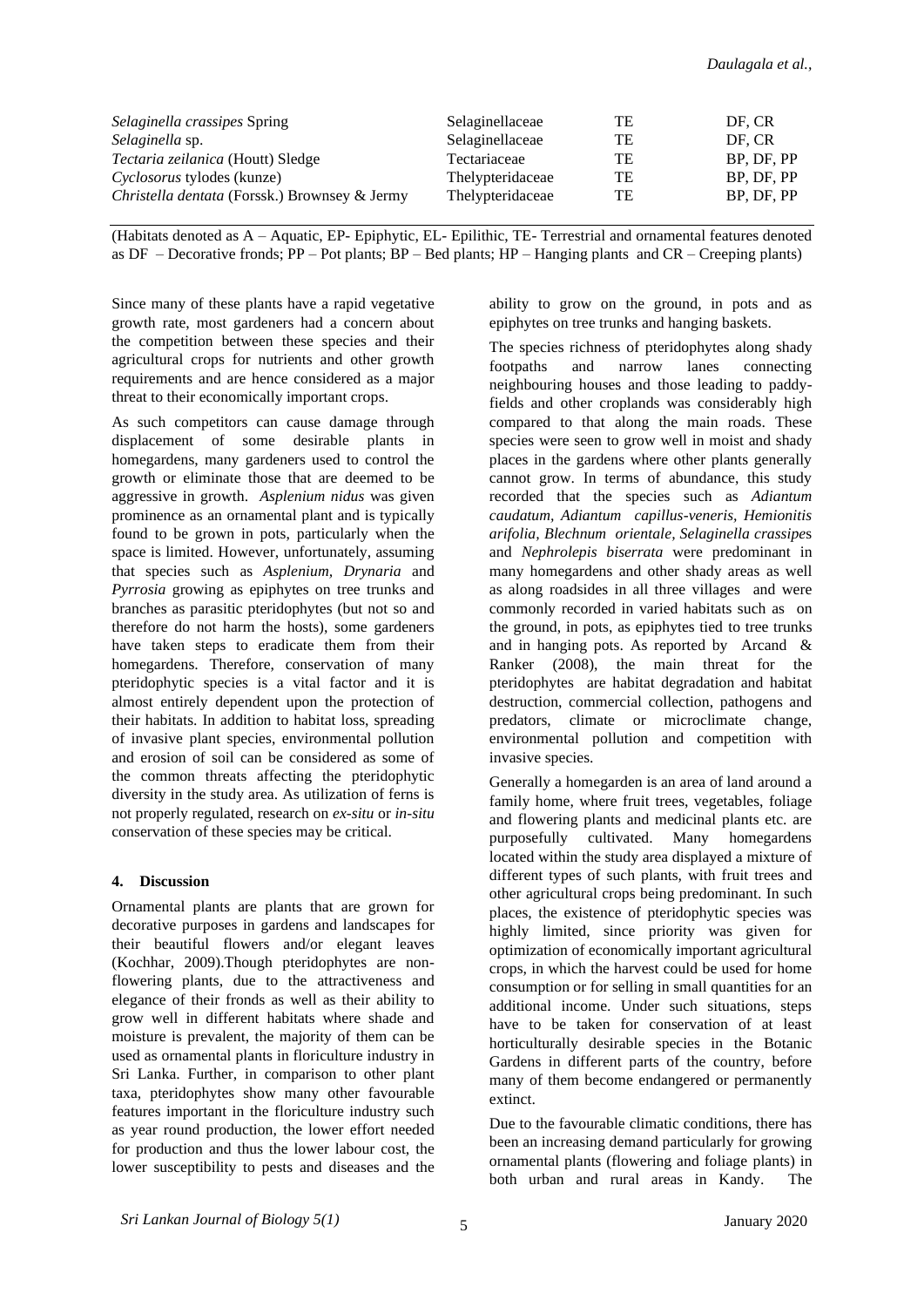| <i>Selaginella crassipes Spring</i>                  | Selaginellaceae  | <b>TE</b> | DF. CR     |
|------------------------------------------------------|------------------|-----------|------------|
| Selaginella sp.                                      | Selaginellaceae  | TE        | DF. CR     |
| Tectaria zeilanica (Houtt) Sledge                    | Tectariaceae     | TE        | BP. DF. PP |
| <i>Cyclosorus</i> tylodes (kunze)                    | Thelypteridaceae | TE        | BP. DF. PP |
| <i>Christella dentata</i> (Forssk.) Brownsey & Jermy | Thelypteridaceae | TE        | BP, DF, PP |

(Habitats denoted as A – Aquatic, EP- Epiphytic, EL- Epilithic, TE- Terrestrial and ornamental features denoted as  $DF -$ Decorative fronds;  $PP -$ Pot plants;  $BP -$ Bed plants;  $HP -$ Hanging plants and  $CR -$ Creeping plants)

Since many of these plants have a rapid vegetative growth rate, most gardeners had a concern about the competition between these species and their agricultural crops for nutrients and other growth requirements and are hence considered as a major threat to their economically important crops.

As such competitors can cause damage through displacement of some desirable plants in homegardens, many gardeners used to control the growth or eliminate those that are deemed to be aggressive in growth. *Asplenium nidus* was given prominence as an ornamental plant and is typically found to be grown in pots, particularly when the space is limited. However, unfortunately, assuming that species such as *Asplenium, Drynaria* and *Pyrrosia* growing as epiphytes on tree trunks and branches as parasitic pteridophytes (but not so and therefore do not harm the hosts), some gardeners have taken steps to eradicate them from their homegardens. Therefore, conservation of many pteridophytic species is a vital factor and it is almost entirely dependent upon the protection of their habitats. In addition to habitat loss, spreading of invasive plant species, environmental pollution and erosion of soil can be considered as some of the common threats affecting the pteridophytic diversity in the study area. As utilization of ferns is not properly regulated, research on *ex-situ* or *in-situ* conservation of these species may be critical.

# **4. Discussion**

Ornamental plants are plants that are grown for decorative purposes in gardens and landscapes for their beautiful flowers and/or elegant leaves (Kochhar, 2009).Though pteridophytes are nonflowering plants, due to the attractiveness and elegance of their fronds as well as their ability to grow well in different habitats where shade and moisture is prevalent, the majority of them can be used as ornamental plants in floriculture industry in Sri Lanka. Further, in comparison to other plant taxa, pteridophytes show many other favourable features important in the floriculture industry such as year round production, the lower effort needed for production and thus the lower labour cost, the lower susceptibility to pests and diseases and the ability to grow on the ground, in pots and as epiphytes on tree trunks and hanging baskets.

The species richness of pteridophytes along shady footpaths and narrow lanes connecting neighbouring houses and those leading to paddyfields and other croplands was considerably high compared to that along the main roads. These species were seen to grow well in moist and shady places in the gardens where other plants generally cannot grow. In terms of abundance, this study recorded that the species such as *Adiantum caudatum, Adiantum capillus-veneris, Hemionitis arifolia, Blechnum orientale, Selaginella crassipe*s and *Nephrolepis biserrata* were predominant in many homegardens and other shady areas as well as along roadsides in all three villages and were commonly recorded in varied habitats such as on the ground, in pots, as epiphytes tied to tree trunks and in hanging pots. As reported by Arcand & Ranker (2008), the main threat for the pteridophytes are habitat degradation and habitat destruction, commercial collection, pathogens and predators, climate or microclimate change, environmental pollution and competition with invasive species.

Generally a homegarden is an area of land around a family home, where fruit trees, vegetables, foliage and flowering plants and medicinal plants etc. are purposefully cultivated. Many homegardens located within the study area displayed a mixture of different types of such plants, with fruit trees and other agricultural crops being predominant. In such places, the existence of pteridophytic species was highly limited, since priority was given for optimization of economically important agricultural crops, in which the harvest could be used for home consumption or for selling in small quantities for an additional income. Under such situations, steps have to be taken for conservation of at least horticulturally desirable species in the Botanic Gardens in different parts of the country, before many of them become endangered or permanently extinct.

Due to the favourable climatic conditions, there has been an increasing demand particularly for growing ornamental plants (flowering and foliage plants) in both urban and rural areas in Kandy. The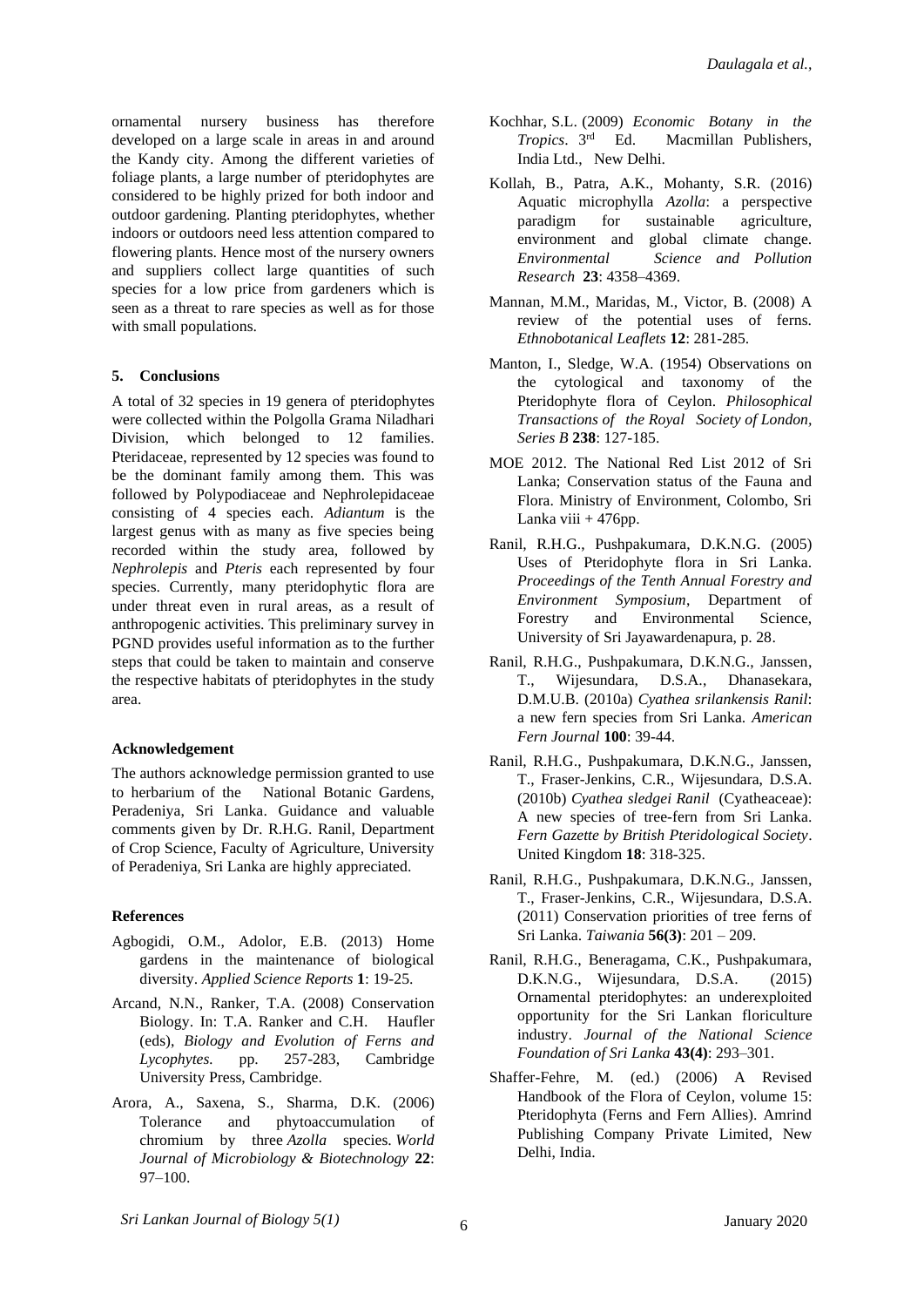ornamental nursery business has therefore developed on a large scale in areas in and around the Kandy city. Among the different varieties of foliage plants, a large number of pteridophytes are considered to be highly prized for both indoor and outdoor gardening. Planting pteridophytes, whether indoors or outdoors need less attention compared to flowering plants. Hence most of the nursery owners and suppliers collect large quantities of such species for a low price from gardeners which is seen as a threat to rare species as well as for those with small populations.

# **5. Conclusions**

A total of 32 species in 19 genera of pteridophytes were collected within the Polgolla Grama Niladhari Division, which belonged to 12 families. Pteridaceae, represented by 12 species was found to be the dominant family among them. This was followed by Polypodiaceae and Nephrolepidaceae consisting of 4 species each. *Adiantum* is the largest genus with as many as five species being recorded within the study area, followed by *Nephrolepis* and *Pteris* each represented by four species. Currently, many pteridophytic flora are under threat even in rural areas, as a result of anthropogenic activities. This preliminary survey in PGND provides useful information as to the further steps that could be taken to maintain and conserve the respective habitats of pteridophytes in the study area.

# **Acknowledgement**

The authors acknowledge permission granted to use to herbarium of the National Botanic Gardens, Peradeniya, Sri Lanka. Guidance and valuable comments given by Dr. R.H.G. Ranil, Department of Crop Science, Faculty of Agriculture, University of Peradeniya, Sri Lanka are highly appreciated.

# **References**

- Agbogidi, O.M., Adolor, E.B. (2013) Home gardens in the maintenance of biological diversity. *Applied Science Reports* **1**: 19-25.
- Arcand, N.N., Ranker, T.A. (2008) Conservation Biology. In: T.A. Ranker and C.H. Haufler (eds), *Biology and Evolution of Ferns and Lycophytes.* pp. 257-283, Cambridge University Press, Cambridge.
- Arora, A., Saxena, S., Sharma, D.K. (2006) Tolerance and phytoaccumulation of chromium by three *Azolla* species. *World Journal of Microbiology & Biotechnology* **22**: 97–100.
- Kochhar, S.L. (2009) *Economic Botany in the Tropics*. 3rd Macmillan Publishers, India Ltd., New Delhi.
- Kollah, B., Patra, A.K., Mohanty, S.R. (2016) Aquatic microphylla *Azolla*: a perspective paradigm for sustainable agriculture, environment and global climate change. *Environmental Science and Pollution Research* **23**: 4358–4369.
- Mannan, M.M., Maridas, M., Victor, B. (2008) A review of the potential uses of ferns. *Ethnobotanical Leaflets* **12**: 281-285.
- Manton, I., Sledge, W.A. (1954) Observations on the cytological and taxonomy of the Pteridophyte flora of Ceylon. *Philosophical Transactions of the Royal Society of London, Series B* **238**: 127-185.
- MOE 2012. The National Red List 2012 of Sri Lanka; Conservation status of the Fauna and Flora. Ministry of Environment, Colombo, Sri Lanka viii  $+476$ pp.
- Ranil, R.H.G., Pushpakumara, D.K.N.G. (2005) Uses of Pteridophyte flora in Sri Lanka. *Proceedings of the Tenth Annual Forestry and Environment Symposium*, Department of Forestry and Environmental Science, University of Sri Jayawardenapura, p. 28.
- Ranil, R.H.G., Pushpakumara, D.K.N.G., Janssen, T., Wijesundara, D.S.A., Dhanasekara, D.M.U.B. (2010a) *Cyathea srilankensis Ranil*: a new fern species from Sri Lanka. *American Fern Journal* **100**: 39-44.
- Ranil, R.H.G., Pushpakumara, D.K.N.G., Janssen, T., Fraser-Jenkins, C.R., Wijesundara, D.S.A. (2010b) *Cyathea sledgei Ranil* (Cyatheaceae): A new species of tree-fern from Sri Lanka. *Fern Gazette by British Pteridological Society*. United Kingdom **18**: 318-325.
- Ranil, R.H.G., Pushpakumara, D.K.N.G., Janssen, T., Fraser-Jenkins, C.R., Wijesundara, D.S.A. (2011) Conservation priorities of tree ferns of Sri Lanka. *Taiwania* **56(3)**: 201 – 209.
- Ranil, R.H.G., Beneragama, C.K., Pushpakumara, D.K.N.G., Wijesundara, D.S.A. (2015) Ornamental pteridophytes: an underexploited opportunity for the Sri Lankan floriculture industry. *Journal of the National Science Foundation of Sri Lanka* **43(4)**: 293–301.
- Shaffer-Fehre, M. (ed.) (2006) A Revised Handbook of the Flora of Ceylon, volume 15: Pteridophyta (Ferns and Fern Allies). Amrind Publishing Company Private Limited, New Delhi, India.

*Sri Lankan Journal of Biology 5(1)* January 2020